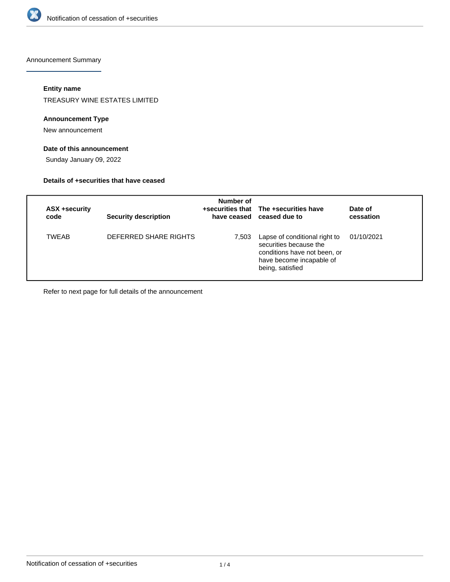

Announcement Summary

# **Entity name**

TREASURY WINE ESTATES LIMITED

## **Announcement Type**

New announcement

# **Date of this announcement**

Sunday January 09, 2022

### **Details of +securities that have ceased**

| ASX +security<br>code | <b>Security description</b> | Number of | +securities that The +securities have<br>have ceased ceased due to                                                                      | Date of<br>cessation |
|-----------------------|-----------------------------|-----------|-----------------------------------------------------------------------------------------------------------------------------------------|----------------------|
| <b>TWEAB</b>          | DEFERRED SHARE RIGHTS       | 7,503     | Lapse of conditional right to<br>securities because the<br>conditions have not been, or<br>have become incapable of<br>being, satisfied | 01/10/2021           |

Refer to next page for full details of the announcement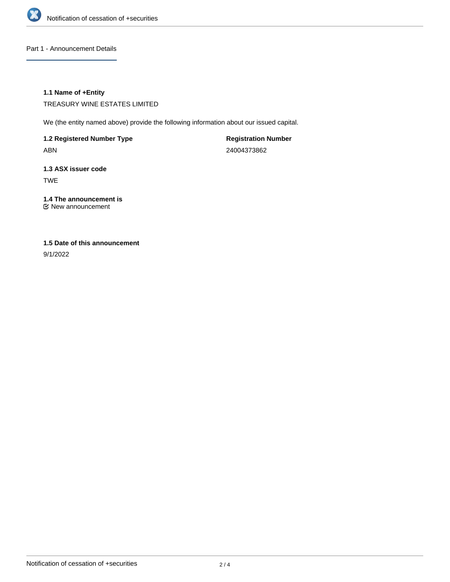

Part 1 - Announcement Details

## **1.1 Name of +Entity**

TREASURY WINE ESTATES LIMITED

We (the entity named above) provide the following information about our issued capital.

**1.2 Registered Number Type** ABN

**Registration Number** 24004373862

**1.3 ASX issuer code** TWE

**1.4 The announcement is** New announcement

# **1.5 Date of this announcement**

9/1/2022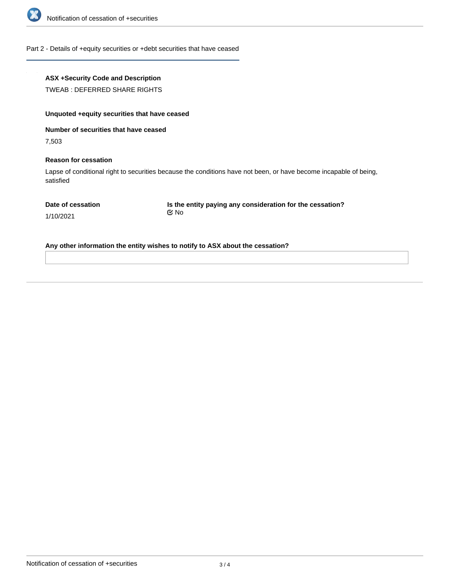

Part 2 - Details of +equity securities or +debt securities that have ceased

# **ASX +Security Code and Description**

TWEAB : DEFERRED SHARE RIGHTS

# **Unquoted +equity securities that have ceased**

**Number of securities that have ceased**

7,503

#### **Reason for cessation**

Lapse of conditional right to securities because the conditions have not been, or have become incapable of being, satisfied

**Is the entity paying any consideration for the cessation?** No

1/10/2021

**Any other information the entity wishes to notify to ASX about the cessation?**